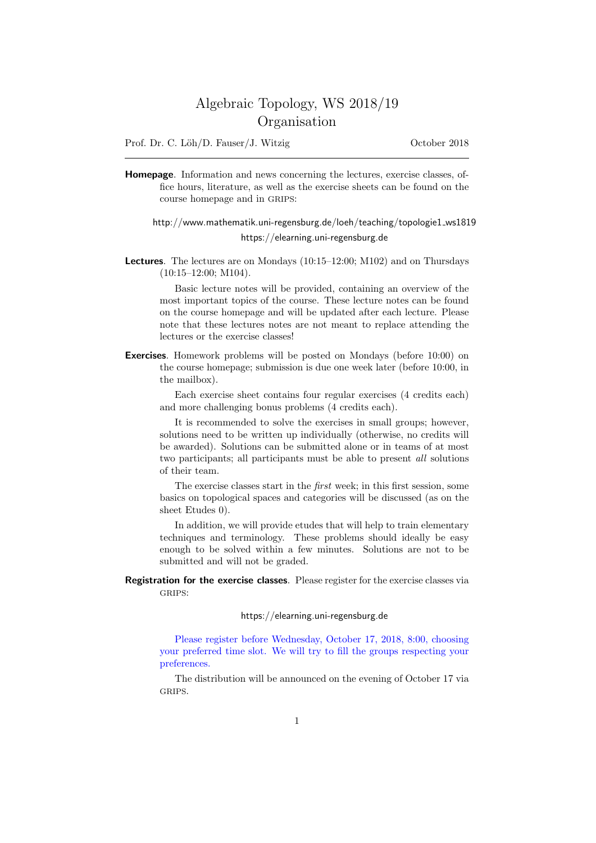# Algebraic Topology, WS 2018/19 Organisation

Prof. Dr. C. Löh/D. Fauser/J. Witzig October 2018

Homepage. Information and news concerning the lectures, exercise classes, office hours, literature, as well as the exercise sheets can be found on the course homepage and in GRIPS:

## http://www.mathematik.uni-regensburg.de/loeh/teaching/topologie1 ws1819 https://elearning.uni-regensburg.de

Lectures. The lectures are on Mondays (10:15–12:00; M102) and on Thursdays (10:15–12:00; M104).

Basic lecture notes will be provided, containing an overview of the most important topics of the course. These lecture notes can be found on the course homepage and will be updated after each lecture. Please note that these lectures notes are not meant to replace attending the lectures or the exercise classes!

Exercises. Homework problems will be posted on Mondays (before 10:00) on the course homepage; submission is due one week later (before 10:00, in the mailbox).

Each exercise sheet contains four regular exercises (4 credits each) and more challenging bonus problems (4 credits each).

It is recommended to solve the exercises in small groups; however, solutions need to be written up individually (otherwise, no credits will be awarded). Solutions can be submitted alone or in teams of at most two participants; all participants must be able to present all solutions of their team.

The exercise classes start in the first week; in this first session, some basics on topological spaces and categories will be discussed (as on the sheet Etudes 0).

In addition, we will provide etudes that will help to train elementary techniques and terminology. These problems should ideally be easy enough to be solved within a few minutes. Solutions are not to be submitted and will not be graded.

Registration for the exercise classes. Please register for the exercise classes via GRIPS:

#### https://elearning.uni-regensburg.de

Please register before Wednesday, October 17, 2018, 8:00, choosing your preferred time slot. We will try to fill the groups respecting your preferences.

The distribution will be announced on the evening of October 17 via GRIPS.